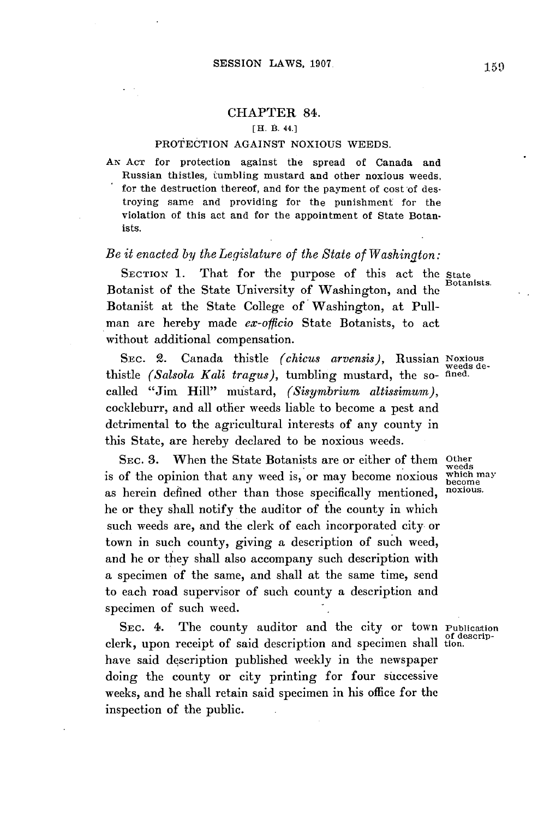## CHAPTER 84.

## [H. B. 44.]

## PROTECTION AGAINST **NOXIOUS** WEEDS.

**AN ACT** for protection against the spread of Canada and Russian thistles, tumbling mustard and other noxious weeds, for the destruction thereof, and for the payment of cost of destroying same and providing for the punishment for the violation of this act and for the appointment of State Botanists.

## *Be it enacted by the Legislature of the State of Washington:*

SECTION 1. That for the purpose of this act the state Botanists. Botanist of the State University of Washington, and the Botanist at the State College of Washington, at Pullman are hereby made *ex-officio* State Botanists, to act without additional compensation.

SEC. 2. Canada thistle *(chicus arvensis),* Russian Noxious thistle *(Salsola Kali tragus),* tumbling mustard, the **so-** fined. called "Jim Hill" mustard, *(Sisymbrium altissimum),* cockleburr, and all other weeds liable to become a pest and detrimental to the agricultural interests of any county in this State, are hereby declared to be noxious weeds.

SEC. 3. When the State Botanists are or either of them Other is of the opinion that any weed is, or may become noxious as herein defined other than those specifically mentioned, noxious. he or they shall notify the auditor of the county in which such weeds are, and the clerk of each incorporated city or town in such county, giving a description of such weed, and he or they shall also accompany such description with a specimen of the same, and shall at the same time, send to each road supervisor of such county a description and specimen of such weed.

SEC. 4. The county auditor and the city or town Publication clerk, upon receipt of said description and specimen shall tion. have said description published weekly in the newspaper doing the county or city printing for four successive weeks, and he shall retain said specimen in his office for the inspection of the public.

weeds de-

weeds<br>which may<br>become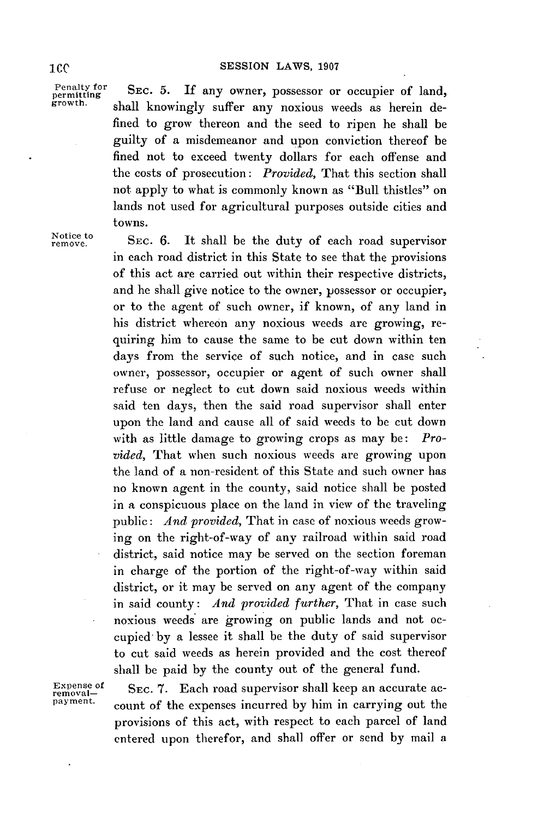Penalty for **SEC. 5.** If any owner, possessor or occupier of land, permitting should knowingly outflow any permission mode as being day shall knowingly suffer any noxious weeds as herein defined to grow thereon and the seed to ripen he shall be guilty of a misdemeanor and upon conviction thereof be fined not to exceed twenty dollars for each offense and the costs of prosecution: *Provided,* That this section shall not apply to what is commonly known as "Bull thistles" on lands not used for agricultural purposes outside cities and towns.

Notice to **SEC. 6.** It shall be the duty of each road supervisor in each road district in this State to see that the provisions of this act are carried out within their respective districts, and he shall give notice to the owner, possessor or occupier, or to the agent of such owner, if known, of any land in his district whereon any noxious weeds are growing, requiring him to cause the same to be cut down within ten days from the service of such notice, and in case such owner, possessor, occupier or agent of such owner shall refuse or neglect to cut down said noxious weeds within said ten days, then the said road supervisor shall enter upon the land and cause all of said weeds to be cut down with as little damage to growing crops as may be: *Provided,* That when such noxious weeds are growing upon the land of a non-resident of this State and such owner has no known agent in the county, said notice shall be posted in a conspicuous place on the land in view of the traveling public: *And provided,* That in case of noxious weeds growing on the right-of-way of any railroad within said road district, said notice may be served on the section foreman in charge of the portion of the right-of-way within said district, or it may be served on any agent of the company in said county: *And provided further,* That in case such noxious weeds are growing on public lands and not occupied **by** a lessee it shall be the duty of said supervisor to cut said weeds as herein provided and the cost thereof shall be paid **by** the county out of the general fund.

Expense of SEC. 7. Each road supervisor shall keep an accurate acpayment. count of the expenses incurred **by** him in carrying out the provisions of this act, with respect to each parcel of land entered upon therefor, and shall offer or send **by** mail a